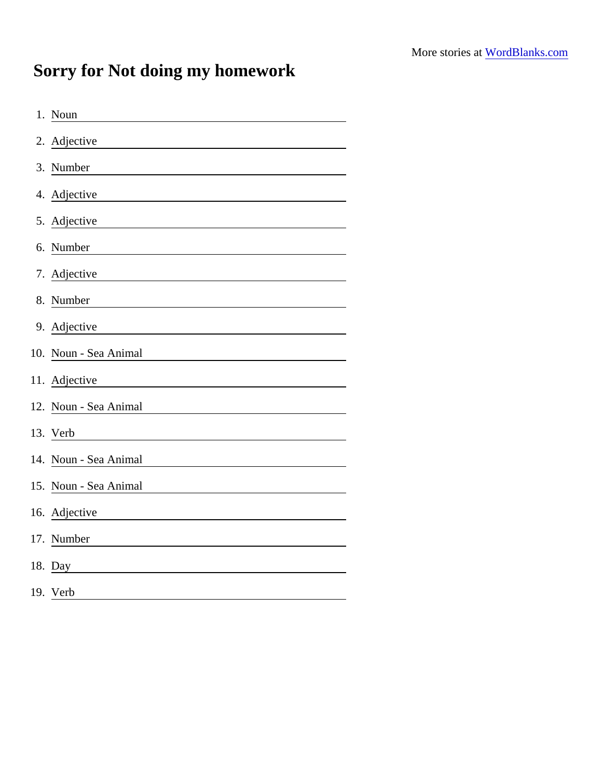## Sorry for Not doing my homework

| 1. Noun                                                                                                                                                                                                                                        |
|------------------------------------------------------------------------------------------------------------------------------------------------------------------------------------------------------------------------------------------------|
| 2. Adjective                                                                                                                                                                                                                                   |
| 3. Number                                                                                                                                                                                                                                      |
| 4. Adjective                                                                                                                                                                                                                                   |
| 5. Adjective                                                                                                                                                                                                                                   |
| 6. Number                                                                                                                                                                                                                                      |
| 7. Adjective<br><u> 1980 - Johann Stoff, fransk politik (d. 1980)</u>                                                                                                                                                                          |
| 8. Number                                                                                                                                                                                                                                      |
| 9. Adjective<br><u> 1980 - Johann Barn, mars ann an t-Amhain Aonaich an t-Aonaich an t-Aonaich ann an t-Aonaich ann an t-Aonaich</u>                                                                                                           |
| 10. Noun - Sea Animal<br><u> 1989 - John Stein, mars and de Brandenberg and de Brandenberg and de Brandenberg and de Brandenberg and de Br</u>                                                                                                 |
| 11. Adjective<br><u> 1989 - Johann Harry Harry Harry Harry Harry Harry Harry Harry Harry Harry Harry Harry Harry Harry Harry Harry</u>                                                                                                         |
| 12. Noun - Sea Animal                                                                                                                                                                                                                          |
| 13. Verb<br><u> 1989 - Johann Barbara, martxa alemaniar a</u>                                                                                                                                                                                  |
| 14. Noun - Sea Animal<br><u> 1989 - Johann Barbara, martxa alemaniar a</u>                                                                                                                                                                     |
| 15. Noun - Sea Animal                                                                                                                                                                                                                          |
| 16. Adjective<br>the company of the company of the company of the company of the company of the company of the company of the company of the company of the company of the company of the company of the company of the company of the company |
| 17. Number                                                                                                                                                                                                                                     |
| 18. Day                                                                                                                                                                                                                                        |
| 19. Verb                                                                                                                                                                                                                                       |